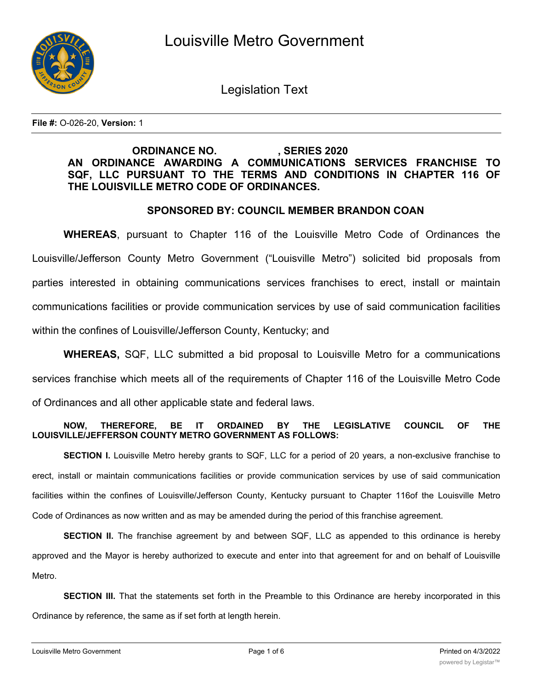

Legislation Text

**File #:** O-026-20, **Version:** 1

# **ORDINANCE NO. , SERIES 2020 AN ORDINANCE AWARDING A COMMUNICATIONS SERVICES FRANCHISE TO SQF, LLC PURSUANT TO THE TERMS AND CONDITIONS IN CHAPTER 116 OF THE LOUISVILLE METRO CODE OF ORDINANCES.**

## **SPONSORED BY: COUNCIL MEMBER BRANDON COAN**

**WHEREAS**, pursuant to Chapter 116 of the Louisville Metro Code of Ordinances the Louisville/Jefferson County Metro Government ("Louisville Metro") solicited bid proposals from parties interested in obtaining communications services franchises to erect, install or maintain communications facilities or provide communication services by use of said communication facilities within the confines of Louisville/Jefferson County, Kentucky; and

**WHEREAS,** SQF, LLC submitted a bid proposal to Louisville Metro for a communications services franchise which meets all of the requirements of Chapter 116 of the Louisville Metro Code of Ordinances and all other applicable state and federal laws.

## **NOW, THEREFORE, BE IT ORDAINED BY THE LEGISLATIVE COUNCIL OF THE LOUISVILLE/JEFFERSON COUNTY METRO GOVERNMENT AS FOLLOWS:**

**SECTION I.** Louisville Metro hereby grants to SQF, LLC for a period of 20 years, a non-exclusive franchise to erect, install or maintain communications facilities or provide communication services by use of said communication facilities within the confines of Louisville/Jefferson County, Kentucky pursuant to Chapter 116of the Louisville Metro Code of Ordinances as now written and as may be amended during the period of this franchise agreement.

**SECTION II.** The franchise agreement by and between SQF, LLC as appended to this ordinance is hereby approved and the Mayor is hereby authorized to execute and enter into that agreement for and on behalf of Louisville Metro.

**SECTION III.** That the statements set forth in the Preamble to this Ordinance are hereby incorporated in this Ordinance by reference, the same as if set forth at length herein.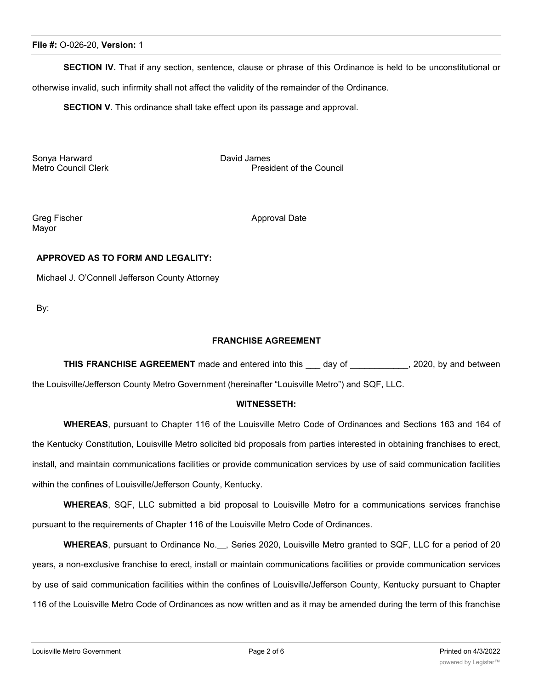**SECTION IV.** That if any section, sentence, clause or phrase of this Ordinance is held to be unconstitutional or

otherwise invalid, such infirmity shall not affect the validity of the remainder of the Ordinance.

**SECTION V**. This ordinance shall take effect upon its passage and approval.

Sonya Harward David James

President of the Council

Mayor

Greg Fischer Approval Date

### **APPROVED AS TO FORM AND LEGALITY:**

Michael J. O'Connell Jefferson County Attorney

By:

#### **FRANCHISE AGREEMENT**

**THIS FRANCHISE AGREEMENT** made and entered into this \_\_\_ day of \_\_\_\_\_\_\_\_\_\_\_\_, 2020, by and between the Louisville/Jefferson County Metro Government (hereinafter "Louisville Metro") and SQF, LLC.

#### **WITNESSETH:**

**WHEREAS**, pursuant to Chapter 116 of the Louisville Metro Code of Ordinances and Sections 163 and 164 of the Kentucky Constitution, Louisville Metro solicited bid proposals from parties interested in obtaining franchises to erect, install, and maintain communications facilities or provide communication services by use of said communication facilities within the confines of Louisville/Jefferson County, Kentucky.

**WHEREAS**, SQF, LLC submitted a bid proposal to Louisville Metro for a communications services franchise pursuant to the requirements of Chapter 116 of the Louisville Metro Code of Ordinances.

WHEREAS, pursuant to Ordinance No.<sub>...</sub>, Series 2020, Louisville Metro granted to SQF, LLC for a period of 20 years, a non-exclusive franchise to erect, install or maintain communications facilities or provide communication services by use of said communication facilities within the confines of Louisville/Jefferson County, Kentucky pursuant to Chapter 116 of the Louisville Metro Code of Ordinances as now written and as it may be amended during the term of this franchise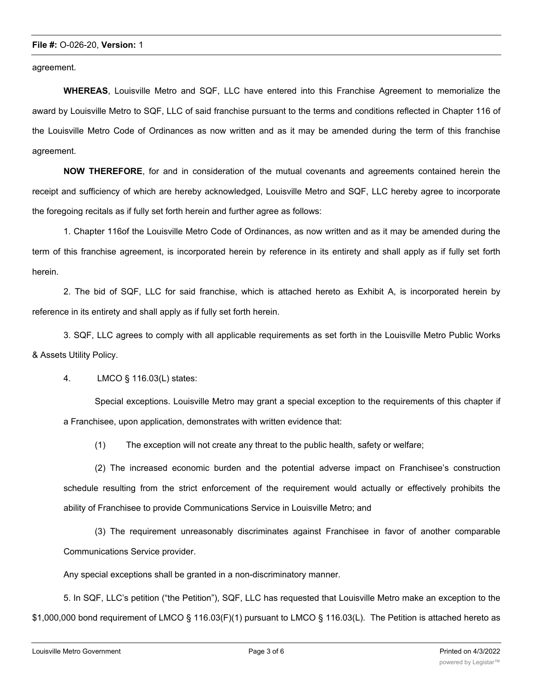agreement.

**WHEREAS**, Louisville Metro and SQF, LLC have entered into this Franchise Agreement to memorialize the award by Louisville Metro to SQF, LLC of said franchise pursuant to the terms and conditions reflected in Chapter 116 of the Louisville Metro Code of Ordinances as now written and as it may be amended during the term of this franchise agreement.

**NOW THEREFORE**, for and in consideration of the mutual covenants and agreements contained herein the receipt and sufficiency of which are hereby acknowledged, Louisville Metro and SQF, LLC hereby agree to incorporate the foregoing recitals as if fully set forth herein and further agree as follows:

1. Chapter 116of the Louisville Metro Code of Ordinances, as now written and as it may be amended during the term of this franchise agreement, is incorporated herein by reference in its entirety and shall apply as if fully set forth herein.

2. The bid of SQF, LLC for said franchise, which is attached hereto as Exhibit A, is incorporated herein by reference in its entirety and shall apply as if fully set forth herein.

3. SQF, LLC agrees to comply with all applicable requirements as set forth in the Louisville Metro Public Works & Assets Utility Policy.

4. LMCO § 116.03(L) states:

Special exceptions. Louisville Metro may grant a special exception to the requirements of this chapter if a Franchisee, upon application, demonstrates with written evidence that:

(1) The exception will not create any threat to the public health, safety or welfare;

(2) The increased economic burden and the potential adverse impact on Franchisee's construction schedule resulting from the strict enforcement of the requirement would actually or effectively prohibits the ability of Franchisee to provide Communications Service in Louisville Metro; and

(3) The requirement unreasonably discriminates against Franchisee in favor of another comparable Communications Service provider.

Any special exceptions shall be granted in a non-discriminatory manner.

5. In SQF, LLC's petition ("the Petition"), SQF, LLC has requested that Louisville Metro make an exception to the \$1,000,000 bond requirement of LMCO § 116.03(F)(1) pursuant to LMCO § 116.03(L). The Petition is attached hereto as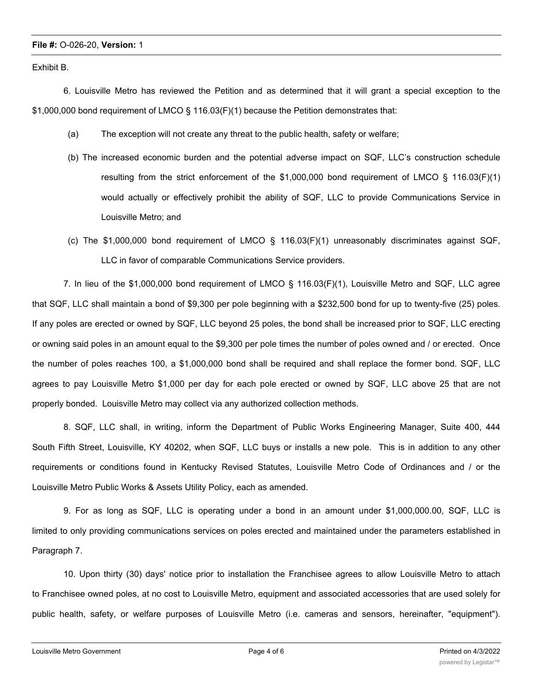#### **File #:** O-026-20, **Version:** 1

Exhibit B.

6. Louisville Metro has reviewed the Petition and as determined that it will grant a special exception to the \$1,000,000 bond requirement of LMCO § 116.03(F)(1) because the Petition demonstrates that:

- (a) The exception will not create any threat to the public health, safety or welfare;
- (b) The increased economic burden and the potential adverse impact on SQF, LLC's construction schedule resulting from the strict enforcement of the \$1,000,000 bond requirement of LMCO § 116.03(F)(1) would actually or effectively prohibit the ability of SQF, LLC to provide Communications Service in Louisville Metro; and
- (c) The \$1,000,000 bond requirement of LMCO § 116.03(F)(1) unreasonably discriminates against SQF, LLC in favor of comparable Communications Service providers.

7. In lieu of the \$1,000,000 bond requirement of LMCO § 116.03(F)(1), Louisville Metro and SQF, LLC agree that SQF, LLC shall maintain a bond of \$9,300 per pole beginning with a \$232,500 bond for up to twenty-five (25) poles. If any poles are erected or owned by SQF, LLC beyond 25 poles, the bond shall be increased prior to SQF, LLC erecting or owning said poles in an amount equal to the \$9,300 per pole times the number of poles owned and / or erected. Once the number of poles reaches 100, a \$1,000,000 bond shall be required and shall replace the former bond. SQF, LLC agrees to pay Louisville Metro \$1,000 per day for each pole erected or owned by SQF, LLC above 25 that are not properly bonded. Louisville Metro may collect via any authorized collection methods.

8. SQF, LLC shall, in writing, inform the Department of Public Works Engineering Manager, Suite 400, 444 South Fifth Street, Louisville, KY 40202, when SQF, LLC buys or installs a new pole. This is in addition to any other requirements or conditions found in Kentucky Revised Statutes, Louisville Metro Code of Ordinances and / or the Louisville Metro Public Works & Assets Utility Policy, each as amended.

9. For as long as SQF, LLC is operating under a bond in an amount under \$1,000,000.00, SQF, LLC is limited to only providing communications services on poles erected and maintained under the parameters established in Paragraph 7.

10. Upon thirty (30) days' notice prior to installation the Franchisee agrees to allow Louisville Metro to attach to Franchisee owned poles, at no cost to Louisville Metro, equipment and associated accessories that are used solely for public health, safety, or welfare purposes of Louisville Metro (i.e. cameras and sensors, hereinafter, "equipment").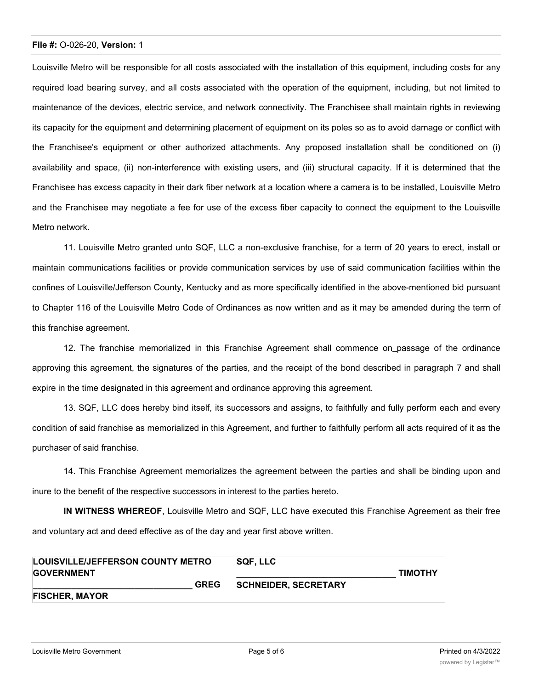#### **File #:** O-026-20, **Version:** 1

Louisville Metro will be responsible for all costs associated with the installation of this equipment, including costs for any required load bearing survey, and all costs associated with the operation of the equipment, including, but not limited to maintenance of the devices, electric service, and network connectivity. The Franchisee shall maintain rights in reviewing its capacity for the equipment and determining placement of equipment on its poles so as to avoid damage or conflict with the Franchisee's equipment or other authorized attachments. Any proposed installation shall be conditioned on (i) availability and space, (ii) non-interference with existing users, and (iii) structural capacity. If it is determined that the Franchisee has excess capacity in their dark fiber network at a location where a camera is to be installed, Louisville Metro and the Franchisee may negotiate a fee for use of the excess fiber capacity to connect the equipment to the Louisville Metro network.

11. Louisville Metro granted unto SQF, LLC a non-exclusive franchise, for a term of 20 years to erect, install or maintain communications facilities or provide communication services by use of said communication facilities within the confines of Louisville/Jefferson County, Kentucky and as more specifically identified in the above-mentioned bid pursuant to Chapter 116 of the Louisville Metro Code of Ordinances as now written and as it may be amended during the term of this franchise agreement.

12. The franchise memorialized in this Franchise Agreement shall commence on passage of the ordinance approving this agreement, the signatures of the parties, and the receipt of the bond described in paragraph 7 and shall expire in the time designated in this agreement and ordinance approving this agreement.

13. SQF, LLC does hereby bind itself, its successors and assigns, to faithfully and fully perform each and every condition of said franchise as memorialized in this Agreement, and further to faithfully perform all acts required of it as the purchaser of said franchise.

14. This Franchise Agreement memorializes the agreement between the parties and shall be binding upon and inure to the benefit of the respective successors in interest to the parties hereto.

**IN WITNESS WHEREOF**, Louisville Metro and SQF, LLC have executed this Franchise Agreement as their free and voluntary act and deed effective as of the day and year first above written.

| LOUISVILLE/JEFFERSON COUNTY METRO | SQF. LLC                    |                |
|-----------------------------------|-----------------------------|----------------|
| <b>GOVERNMENT</b>                 |                             | <b>TIMOTHY</b> |
| <b>GREG</b>                       | <b>SCHNEIDER, SECRETARY</b> |                |
| <b>FISCHER, MAYOR</b>             |                             |                |